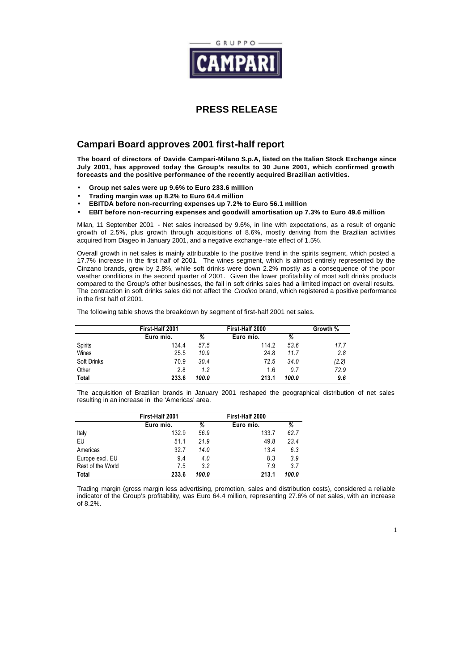

## **PRESS RELEASE**

# **Campari Board approves 2001 first-half report**

**The board of directors of Davide Campari-Milano S.p.A, listed on the Italian Stock Exchange since July 2001, has approved today the Group's results to 30 June 2001, which confirmed growth forecasts and the positive performance of the recently acquired Brazilian activities.**

- **Group net sales were up 9.6% to Euro 233.6 million**
- **Trading margin was up 8.2% to Euro 64.4 million**
- **EBITDA before non-recurring expenses up 7.2% to Euro 56.1 million**
- **EBIT before non-recurring expenses and goodwill amortisation up 7.3% to Euro 49.6 million**

Milan, 11 September 2001 - Net sales increased by 9.6%, in line with expectations, as a result of organic growth of 2.5%, plus growth through acquisitions of 8.6%, mostly deriving from the Brazilian activities acquired from Diageo in January 2001, and a negative exchange-rate effect of 1.5%.

Overall growth in net sales is mainly attributable to the positive trend in the spirits segment, which posted a 17.7% increase in the first half of 2001. The wines segment, which is almost entirely represented by the Cinzano brands, grew by 2.8%, while soft drinks were down 2.2% mostly as a consequence of the poor weather conditions in the second quarter of 2001. Given the lower profitability of most soft drinks products compared to the Group's other businesses, the fall in soft drinks sales had a limited impact on overall results. The contraction in soft drinks sales did not affect the *Crodino* brand, which registered a positive performance in the first half of 2001.

The following table shows the breakdown by segment of first-half 2001 net sales.

|                | First-Half 2001 |       | First-Half 2000 | Growth % |       |
|----------------|-----------------|-------|-----------------|----------|-------|
|                | Euro mio.       | %     | Euro mio.       | %        |       |
| <b>Spirits</b> | 134.4           | 57.5  | 114.2           | 53.6     | 17.7  |
| Wines          | 25.5            | 10.9  | 24.8            | 11.7     | 2.8   |
| Soft Drinks    | 70.9            | 30.4  | 72.5            | 34.0     | (2.2) |
| Other          | 2.8             | 1.2   | 1.6             | 0.7      | 72.9  |
| Total          | 233.6           | 100.0 | 213.1           | 100.0    | 9.6   |

The acquisition of Brazilian brands in January 2001 reshaped the geographical distribution of net sales resulting in an increase in the 'Americas' area.

|                   | First-Half 2001 |       |           |       |
|-------------------|-----------------|-------|-----------|-------|
|                   | Euro mio.       | %     | Euro mio. | ℅     |
| Italy             | 132.9           | 56.9  | 133.7     | 62.7  |
| EU                | 51.1            | 21.9  | 49.8      | 23.4  |
| Americas          | 32.7            | 14.0  | 13.4      | 6.3   |
| Europe excl. EU   | 9.4             | 4.0   | 8.3       | 3.9   |
| Rest of the World | 7.5             | 3.2   | 7.9       | 3.7   |
| <b>Total</b>      | 233.6           | 100.0 | 213.1     | 100.0 |

Trading margin (gross margin less advertising, promotion, sales and distribution costs), considered a reliable indicator of the Group's profitability, was Euro 64.4 million, representing 27.6% of net sales, with an increase of 8.2%.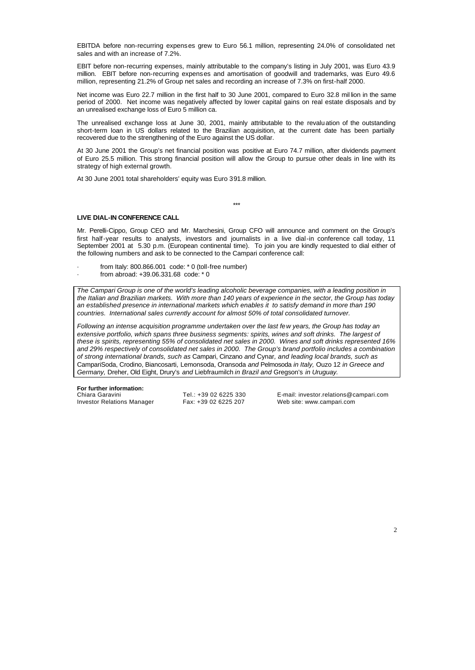EBITDA before non-recurring expenses grew to Euro 56.1 million, representing 24.0% of consolidated net sales and with an increase of 7.2%.

EBIT before non-recurring expenses, mainly attributable to the company's listing in July 2001, was Euro 43.9 million. EBIT before non-recurring expenses and amortisation of goodwill and trademarks, was Euro 49.6 million, representing 21.2% of Group net sales and recording an increase of 7.3% on first-half 2000.

Net income was Euro 22.7 million in the first half to 30 June 2001, compared to Euro 32.8 mil lion in the same period of 2000. Net income was negatively affected by lower capital gains on real estate disposals and by an unrealised exchange loss of Euro 5 million ca.

The unrealised exchange loss at June 30, 2001, mainly attributable to the revaluation of the outstanding short-term loan in US dollars related to the Brazilian acquisition, at the current date has been partially recovered due to the strengthening of the Euro against the US dollar.

At 30 June 2001 the Group's net financial position was positive at Euro 74.7 million, after dividends payment of Euro 25.5 million. This strong financial position will allow the Group to pursue other deals in line with its strategy of high external growth.

At 30 June 2001 total shareholders' equity was Euro 391.8 million.

\*\*\*

#### **LIVE DIAL-IN CONFERENCE CALL**

Mr. Perelli-Cippo, Group CEO and Mr. Marchesini, Group CFO will announce and comment on the Group's first half-year results to analysts, investors and journalists in a live dial-in conference call today, 11 September 2001 at 5.30 p.m. (European continental time). To join you are kindly requested to dial either of the following numbers and ask to be connected to the Campari conference call:

- from Italy: 800.866.001 code: \* 0 (toll-free number)
- from abroad: +39.06.331.68 code: \* 0

*The Campari Group is one of the world's leading alcoholic beverage companies, with a leading position in the Italian and Brazilian markets. With more than 140 years of experience in the sector, the Group has today an established presence in international markets which enables it to satisfy demand in more than 190 countries. International sales currently account for almost 50% of total consolidated turnover.*

*Following an intense acquisition programme undertaken over the last few years, the Group has today an*  extensive portfolio, which spans three business segments: spirits, wines and soft drinks. The largest of *these is spirits, representing 55% of consolidated net sales in 2000. Wines and soft drinks represented 16% and 29% respectively of consolidated net sales in 2000. The Group's brand portfolio includes a combination of strong international brands, such as* Campari, Cinzano *and* Cynar*, and leading local brands, such as*  CampariSoda, Crodino, Biancosarti*,* Lemonsoda, Oransoda *and* Pelmosoda *in Italy,* Ouzo 12 *in Greece and Germany,* Dreher, Old Eight, Drury's *and* Liebfraumilch *in Brazil and* Gregson's *in Uruguay.*

**For further information:** Investor Relations Manager Fax: +39 02 6225 207 Web site: www.campari.com

Tel.: +39 02 6225 330 E-mail: investor.relations@campari.com